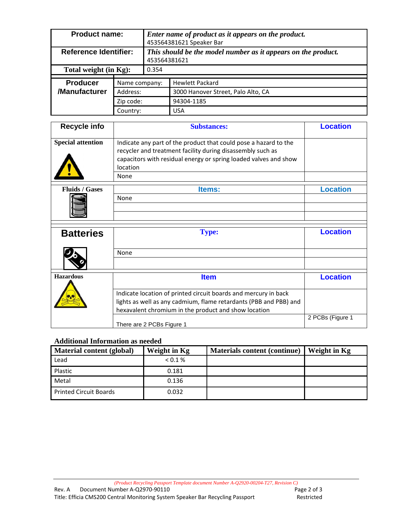| <b>Product name:</b>             |                       | Enter name of product as it appears on the product.<br>453564381621 Speaker Bar |                                    |  |
|----------------------------------|-----------------------|---------------------------------------------------------------------------------|------------------------------------|--|
| <b>Reference Identifier:</b>     |                       | This should be the model number as it appears on the product.<br>453564381621   |                                    |  |
| Total weight (in Kg):            |                       | 0.354                                                                           |                                    |  |
| <b>Producer</b><br>Name company: |                       |                                                                                 | <b>Hewlett Packard</b>             |  |
| /Manufacturer                    | Address:<br>Zip code: |                                                                                 | 3000 Hanover Street, Palo Alto, CA |  |
|                                  |                       |                                                                                 | 94304-1185                         |  |
|                                  | Country:              |                                                                                 | <b>USA</b>                         |  |

| <b>Recycle info</b>      | <b>Substances:</b>                                                                                                                                                                                             | <b>Location</b> |  |
|--------------------------|----------------------------------------------------------------------------------------------------------------------------------------------------------------------------------------------------------------|-----------------|--|
| <b>Special attention</b> | Indicate any part of the product that could pose a hazard to the<br>recycler and treatment facility during disassembly such as<br>capacitors with residual energy or spring loaded valves and show<br>location |                 |  |
|                          | None                                                                                                                                                                                                           |                 |  |
| <b>Fluids / Gases</b>    | <b>Items:</b>                                                                                                                                                                                                  | l ocation       |  |
|                          | None                                                                                                                                                                                                           |                 |  |
|                          |                                                                                                                                                                                                                |                 |  |
|                          |                                                                                                                                                                                                                |                 |  |

| <b>Batteries</b> | <b>Type:</b>                                                                                                                                                                                 | <b>Location</b>  |  |
|------------------|----------------------------------------------------------------------------------------------------------------------------------------------------------------------------------------------|------------------|--|
|                  | None                                                                                                                                                                                         |                  |  |
| <b>Hazardous</b> | <b>Item</b>                                                                                                                                                                                  | Location         |  |
|                  | Indicate location of printed circuit boards and mercury in back<br>lights as well as any cadmium, flame retardants (PBB and PBB) and<br>hexavalent chromium in the product and show location |                  |  |
|                  | There are 2 PCBs Figure 1                                                                                                                                                                    | 2 PCBs (Figure 1 |  |

## **Additional Information as needed**

| Material content (global) | Weight in Kg | <b>Materials content (continue)</b> | Weight in Kg |
|---------------------------|--------------|-------------------------------------|--------------|
| Lead                      | $0.1\%$      |                                     |              |
| Plastic                   | 0.181        |                                     |              |
| Metal                     | 0.136        |                                     |              |
| Printed Circuit Boards    | 0.032        |                                     |              |